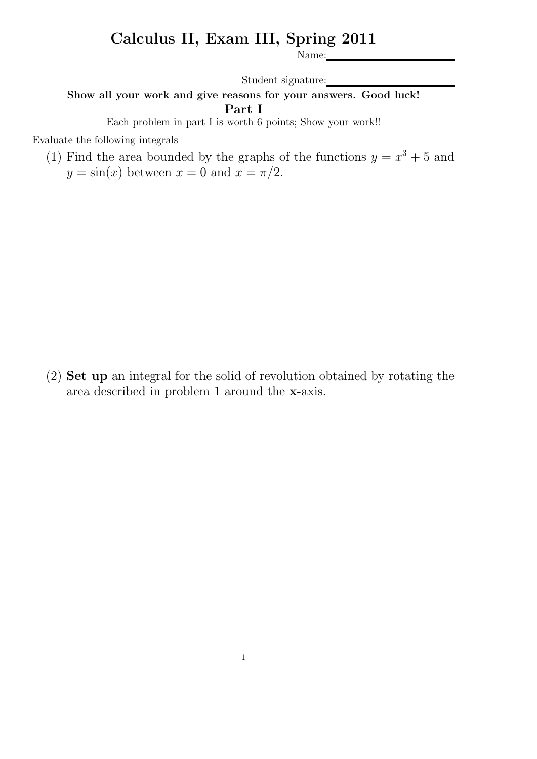## Calculus II, Exam III, Spring 2011

Name:

Student signature:

Show all your work and give reasons for your answers. Good luck! Part I

Each problem in part I is worth 6 points; Show your work!!

Evaluate the following integrals

(1) Find the area bounded by the graphs of the functions  $y = x^3 + 5$  and  $y = \sin(x)$  between  $x = 0$  and  $x = \pi/2$ .

(2) Set up an integral for the solid of revolution obtained by rotating the area described in problem 1 around the x-axis.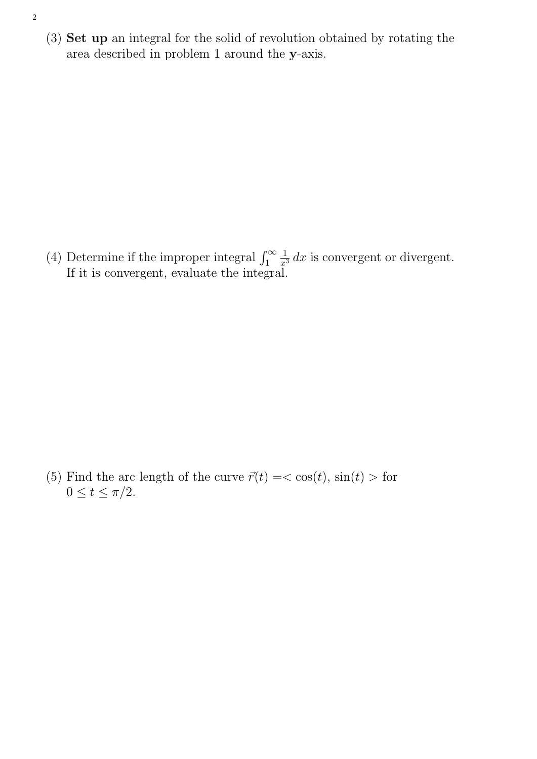(3) Set up an integral for the solid of revolution obtained by rotating the area described in problem 1 around the y-axis.

(4) Determine if the improper integral  $\int_1^\infty$ 1  $\frac{1}{x^3} dx$  is convergent or divergent. If it is convergent, evaluate the integral.

(5) Find the arc length of the curve  $\vec{r}(t) = \cos(t)$ ,  $\sin(t) >$  for  $0 \le t \le \pi/2$ .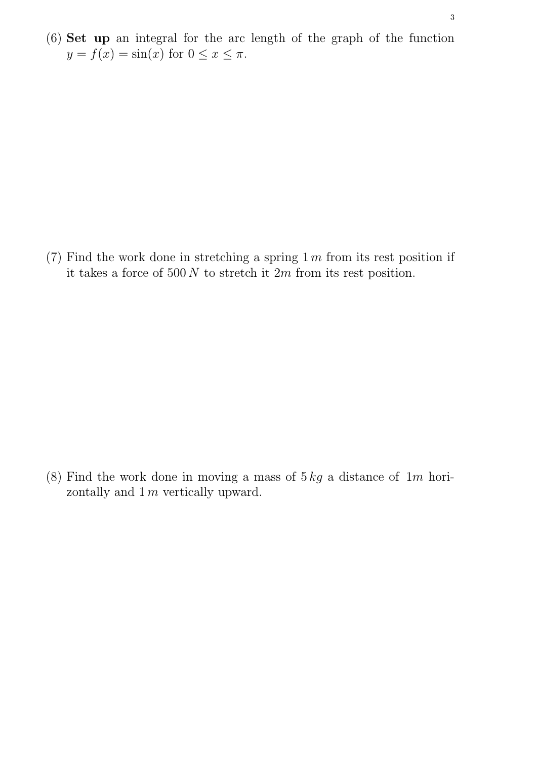(6) Set up an integral for the arc length of the graph of the function  $y = f(x) = \sin(x)$  for  $0 \le x \le \pi$ .

(7) Find the work done in stretching a spring  $1 \, \text{m}$  from its rest position if it takes a force of  $500 N$  to stretch it  $2m$  from its rest position.

(8) Find the work done in moving a mass of  $5 kg$  a distance of  $1 m$  horizontally and  $1 m$  vertically upward.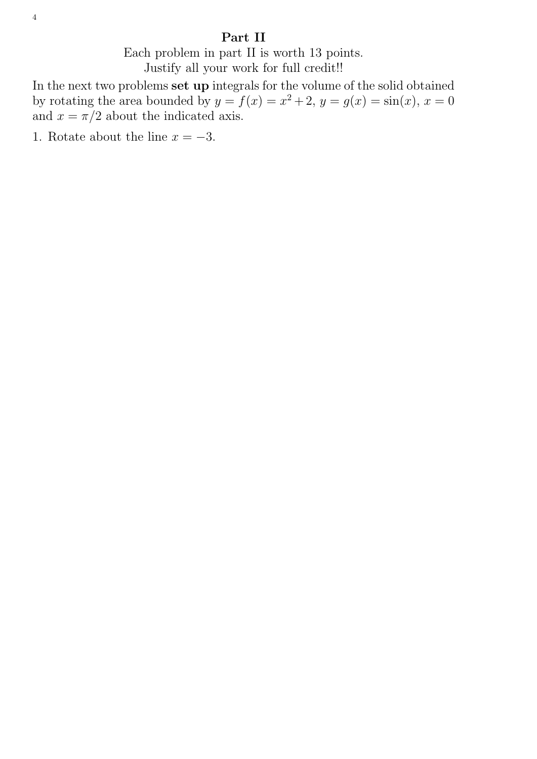## Part II

Each problem in part II is worth 13 points. Justify all your work for full credit!!

In the next two problems set up integrals for the volume of the solid obtained by rotating the area bounded by  $y = f(x) = x^2 + 2$ ,  $y = g(x) = \sin(x)$ ,  $x = 0$ and  $x = \pi/2$  about the indicated axis.

1. Rotate about the line  $x = -3$ .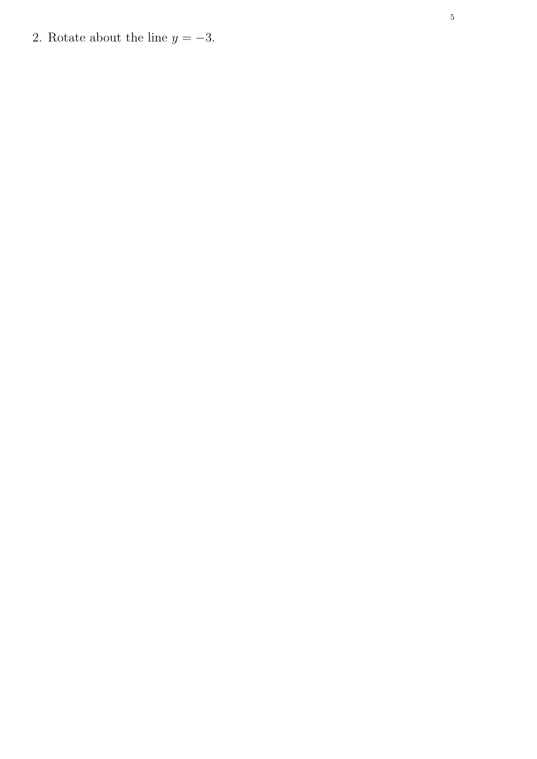2. Rotate about the line  $y = -3$ .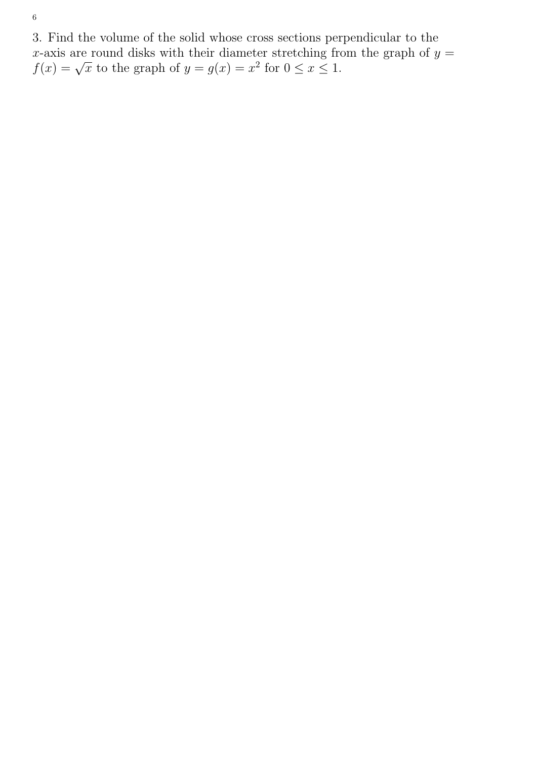3. Find the volume of the solid whose cross sections perpendicular to the x-axis are round disks with their diameter stretching from the graph of  $y =$ x-axis are round disks with their diameter stretching in<br>  $f(x) = \sqrt{x}$  to the graph of  $y = g(x) = x^2$  for  $0 \le x \le 1$ .

6